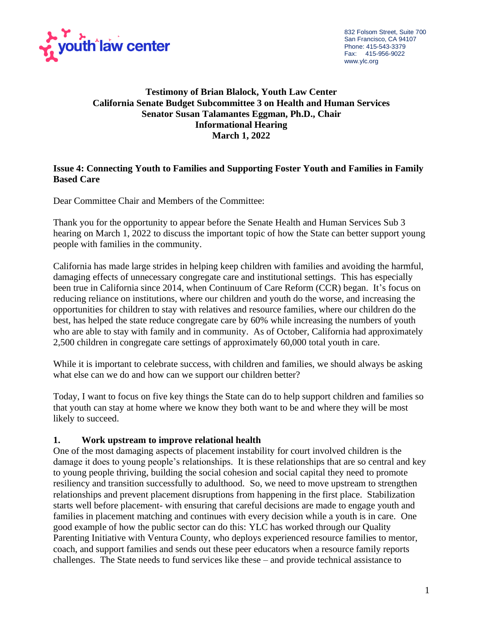

# **Testimony of Brian Blalock, Youth Law Center California Senate Budget Subcommittee 3 on Health and Human Services Senator Susan Talamantes Eggman, Ph.D., Chair Informational Hearing March 1, 2022**

### **Issue 4: Connecting Youth to Families and Supporting Foster Youth and Families in Family Based Care**

Dear Committee Chair and Members of the Committee:

Thank you for the opportunity to appear before the Senate Health and Human Services Sub 3 hearing on March 1, 2022 to discuss the important topic of how the State can better support young people with families in the community.

California has made large strides in helping keep children with families and avoiding the harmful, damaging effects of unnecessary congregate care and institutional settings. This has especially been true in California since 2014, when Continuum of Care Reform (CCR) began. It's focus on reducing reliance on institutions, where our children and youth do the worse, and increasing the opportunities for children to stay with relatives and resource families, where our children do the best, has helped the state reduce congregate care by 60% while increasing the numbers of youth who are able to stay with family and in community. As of October, California had approximately 2,500 children in congregate care settings of approximately 60,000 total youth in care.

While it is important to celebrate success, with children and families, we should always be asking what else can we do and how can we support our children better?

Today, I want to focus on five key things the State can do to help support children and families so that youth can stay at home where we know they both want to be and where they will be most likely to succeed.

## **1. Work upstream to improve relational health**

One of the most damaging aspects of placement instability for court involved children is the damage it does to young people's relationships. It is these relationships that are so central and key to young people thriving, building the social cohesion and social capital they need to promote resiliency and transition successfully to adulthood. So, we need to move upstream to strengthen relationships and prevent placement disruptions from happening in the first place. Stabilization starts well before placement- with ensuring that careful decisions are made to engage youth and families in placement matching and continues with every decision while a youth is in care. One good example of how the public sector can do this: YLC has worked through our Quality Parenting Initiative with Ventura County, who deploys experienced resource families to mentor, coach, and support families and sends out these peer educators when a resource family reports challenges. The State needs to fund services like these – and provide technical assistance to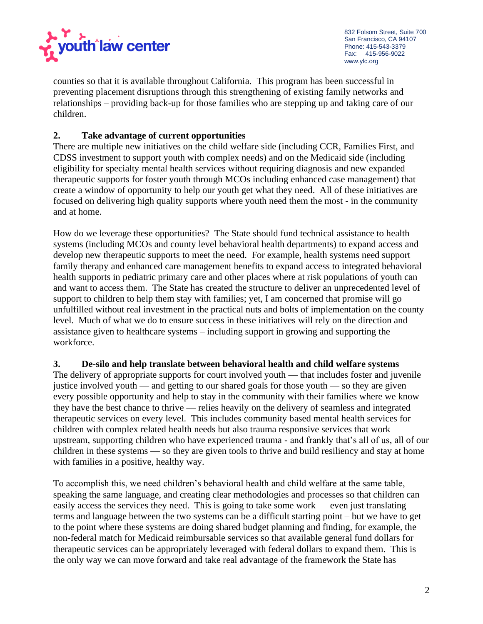

counties so that it is available throughout California. This program has been successful in preventing placement disruptions through this strengthening of existing family networks and relationships – providing back-up for those families who are stepping up and taking care of our children.

# **2. Take advantage of current opportunities**

There are multiple new initiatives on the child welfare side (including CCR, Families First, and CDSS investment to support youth with complex needs) and on the Medicaid side (including eligibility for specialty mental health services without requiring diagnosis and new expanded therapeutic supports for foster youth through MCOs including enhanced case management) that create a window of opportunity to help our youth get what they need. All of these initiatives are focused on delivering high quality supports where youth need them the most - in the community and at home.

How do we leverage these opportunities? The State should fund technical assistance to health systems (including MCOs and county level behavioral health departments) to expand access and develop new therapeutic supports to meet the need. For example, health systems need support family therapy and enhanced care management benefits to expand access to integrated behavioral health supports in pediatric primary care and other places where at risk populations of youth can and want to access them. The State has created the structure to deliver an unprecedented level of support to children to help them stay with families; yet, I am concerned that promise will go unfulfilled without real investment in the practical nuts and bolts of implementation on the county level. Much of what we do to ensure success in these initiatives will rely on the direction and assistance given to healthcare systems – including support in growing and supporting the workforce.

**3. De-silo and help translate between behavioral health and child welfare systems**  The delivery of appropriate supports for court involved youth — that includes foster and juvenile justice involved youth — and getting to our shared goals for those youth — so they are given every possible opportunity and help to stay in the community with their families where we know they have the best chance to thrive — relies heavily on the delivery of seamless and integrated therapeutic services on every level. This includes community based mental health services for children with complex related health needs but also trauma responsive services that work upstream, supporting children who have experienced trauma - and frankly that's all of us, all of our children in these systems — so they are given tools to thrive and build resiliency and stay at home with families in a positive, healthy way.

To accomplish this, we need children's behavioral health and child welfare at the same table, speaking the same language, and creating clear methodologies and processes so that children can easily access the services they need. This is going to take some work — even just translating terms and language between the two systems can be a difficult starting point – but we have to get to the point where these systems are doing shared budget planning and finding, for example, the non-federal match for Medicaid reimbursable services so that available general fund dollars for therapeutic services can be appropriately leveraged with federal dollars to expand them. This is the only way we can move forward and take real advantage of the framework the State has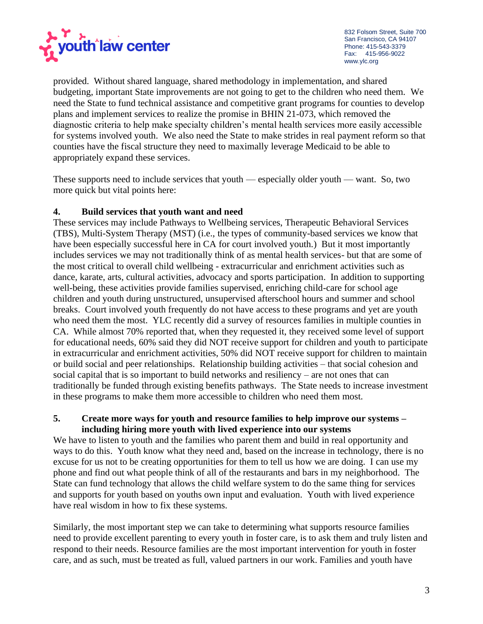

provided. Without shared language, shared methodology in implementation, and shared budgeting, important State improvements are not going to get to the children who need them. We need the State to fund technical assistance and competitive grant programs for counties to develop plans and implement services to realize the promise in BHIN 21-073, which removed the diagnostic criteria to help make specialty children's mental health services more easily accessible for systems involved youth. We also need the State to make strides in real payment reform so that counties have the fiscal structure they need to maximally leverage Medicaid to be able to appropriately expand these services.

These supports need to include services that youth — especially older youth — want. So, two more quick but vital points here:

### **4. Build services that youth want and need**

These services may include Pathways to Wellbeing services, Therapeutic Behavioral Services (TBS), Multi-System Therapy (MST) (i.e., the types of community-based services we know that have been especially successful here in CA for court involved youth.) But it most importantly includes services we may not traditionally think of as mental health services- but that are some of the most critical to overall child wellbeing - extracurricular and enrichment activities such as dance, karate, arts, cultural activities, advocacy and sports participation. In addition to supporting well-being, these activities provide families supervised, enriching child-care for school age children and youth during unstructured, unsupervised afterschool hours and summer and school breaks. Court involved youth frequently do not have access to these programs and yet are youth who need them the most. YLC recently did a survey of resources families in multiple counties in CA. While almost 70% reported that, when they requested it, they received some level of support for educational needs, 60% said they did NOT receive support for children and youth to participate in extracurricular and enrichment activities, 50% did NOT receive support for children to maintain or build social and peer relationships. Relationship building activities – that social cohesion and social capital that is so important to build networks and resiliency – are not ones that can traditionally be funded through existing benefits pathways. The State needs to increase investment in these programs to make them more accessible to children who need them most.

#### **5. Create more ways for youth and resource families to help improve our systems – including hiring more youth with lived experience into our systems**

We have to listen to youth and the families who parent them and build in real opportunity and ways to do this. Youth know what they need and, based on the increase in technology, there is no excuse for us not to be creating opportunities for them to tell us how we are doing. I can use my phone and find out what people think of all of the restaurants and bars in my neighborhood. The State can fund technology that allows the child welfare system to do the same thing for services and supports for youth based on youths own input and evaluation. Youth with lived experience have real wisdom in how to fix these systems.

Similarly, the most important step we can take to determining what supports resource families need to provide excellent parenting to every youth in foster care, is to ask them and truly listen and respond to their needs. Resource families are the most important intervention for youth in foster care, and as such, must be treated as full, valued partners in our work. Families and youth have